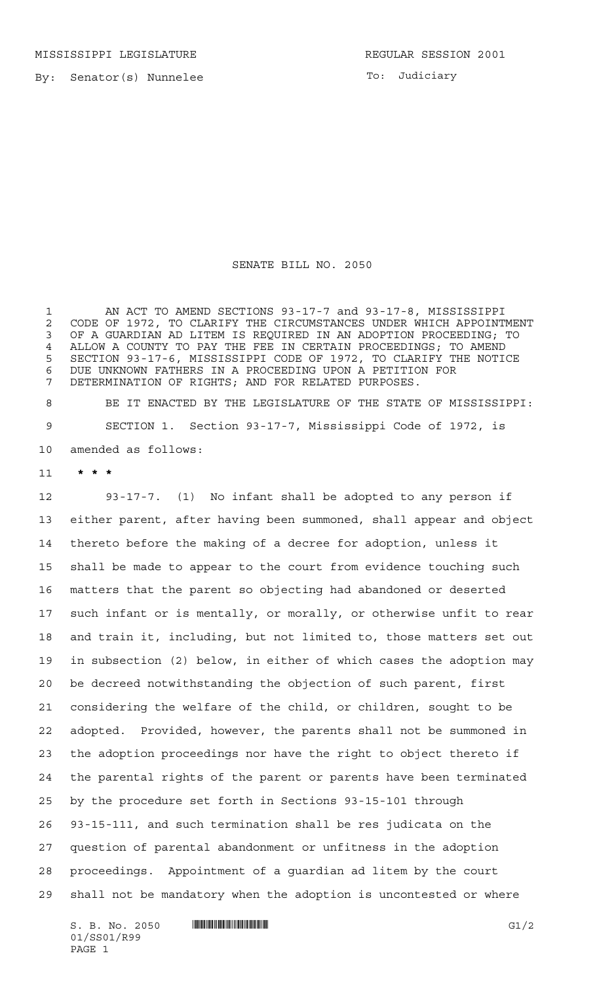MISSISSIPPI LEGISLATURE **REGULAR SESSION 2001** 

By: Senator(s) Nunnelee

To: Judiciary

## SENATE BILL NO. 2050

 AN ACT TO AMEND SECTIONS 93-17-7 and 93-17-8, MISSISSIPPI 2 CODE OF 1972, TO CLARIFY THE CIRCUMSTANCES UNDER WHICH APPOINTMENT<br>3 OF A GUARDIAN AD LITEM IS REOUIRED IN AN ADOPTION PROCEEDING: TO OF A GUARDIAN AD LITEM IS REQUIRED IN AN ADOPTION PROCEEDING; TO ALLOW A COUNTY TO PAY THE FEE IN CERTAIN PROCEEDINGS; TO AMEND SECTION 93-17-6, MISSISSIPPI CODE OF 1972, TO CLARIFY THE NOTICE DUE UNKNOWN FATHERS IN A PROCEEDING UPON A PETITION FOR DETERMINATION OF RIGHTS; AND FOR RELATED PURPOSES.

 BE IT ENACTED BY THE LEGISLATURE OF THE STATE OF MISSISSIPPI: SECTION 1. Section 93-17-7, Mississippi Code of 1972, is amended as follows:

**\*\*\***

 93-17-7. (1) No infant shall be adopted to any person if either parent, after having been summoned, shall appear and object thereto before the making of a decree for adoption, unless it shall be made to appear to the court from evidence touching such matters that the parent so objecting had abandoned or deserted such infant or is mentally, or morally, or otherwise unfit to rear and train it, including, but not limited to, those matters set out in subsection (2) below, in either of which cases the adoption may be decreed notwithstanding the objection of such parent, first considering the welfare of the child, or children, sought to be adopted. Provided, however, the parents shall not be summoned in the adoption proceedings nor have the right to object thereto if the parental rights of the parent or parents have been terminated by the procedure set forth in Sections 93-15-101 through 93-15-111, and such termination shall be res judicata on the question of parental abandonment or unfitness in the adoption proceedings. Appointment of a guardian ad litem by the court shall not be mandatory when the adoption is uncontested or where

 $S. B. No. 2050$   $\blacksquare$   $\blacksquare$   $\blacksquare$   $\blacksquare$   $\blacksquare$   $\blacksquare$   $\blacksquare$   $\blacksquare$   $\blacksquare$   $\blacksquare$   $\blacksquare$   $\blacksquare$   $\blacksquare$   $\blacksquare$   $\blacksquare$   $\blacksquare$   $\blacksquare$   $\blacksquare$   $\blacksquare$   $\blacksquare$   $\blacksquare$   $\blacksquare$   $\blacksquare$   $\blacksquare$   $\blacksquare$   $\blacksquare$   $\blacksquare$   $\blacksquare$   $\blacksquare$   $\blacks$ 01/SS01/R99 PAGE 1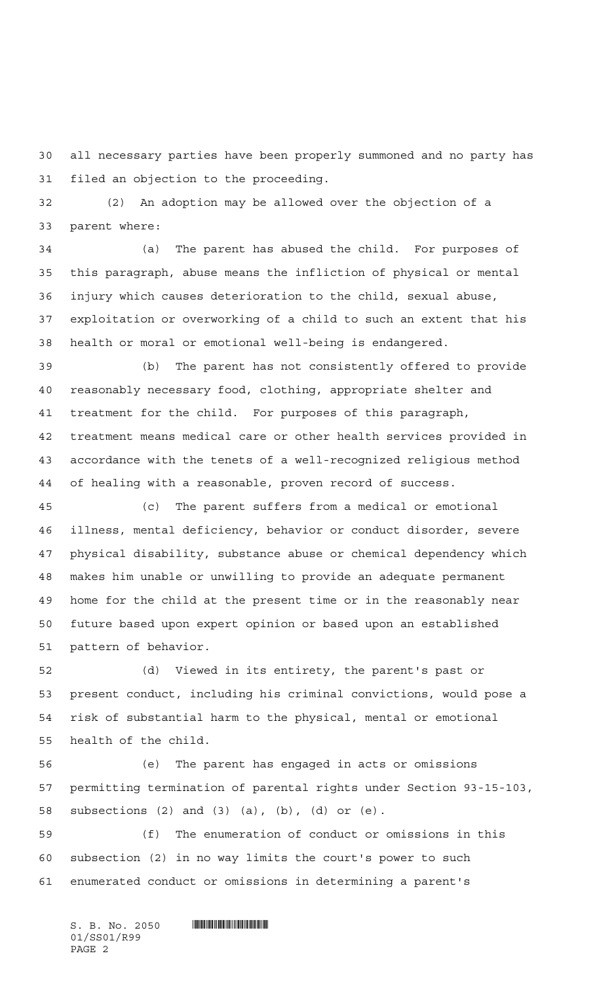all necessary parties have been properly summoned and no party has filed an objection to the proceeding.

 (2) An adoption may be allowed over the objection of a parent where:

 (a) The parent has abused the child. For purposes of this paragraph, abuse means the infliction of physical or mental injury which causes deterioration to the child, sexual abuse, exploitation or overworking of a child to such an extent that his health or moral or emotional well-being is endangered.

 (b) The parent has not consistently offered to provide reasonably necessary food, clothing, appropriate shelter and treatment for the child. For purposes of this paragraph, treatment means medical care or other health services provided in accordance with the tenets of a well-recognized religious method of healing with a reasonable, proven record of success.

 (c) The parent suffers from a medical or emotional illness, mental deficiency, behavior or conduct disorder, severe physical disability, substance abuse or chemical dependency which makes him unable or unwilling to provide an adequate permanent home for the child at the present time or in the reasonably near future based upon expert opinion or based upon an established pattern of behavior.

 (d) Viewed in its entirety, the parent's past or present conduct, including his criminal convictions, would pose a risk of substantial harm to the physical, mental or emotional health of the child.

 (e) The parent has engaged in acts or omissions permitting termination of parental rights under Section 93-15-103, subsections (2) and (3) (a), (b), (d) or (e).

 (f) The enumeration of conduct or omissions in this subsection (2) in no way limits the court's power to such enumerated conduct or omissions in determining a parent's

 $S. B. No. 2050$  .  $\blacksquare$ 01/SS01/R99 PAGE 2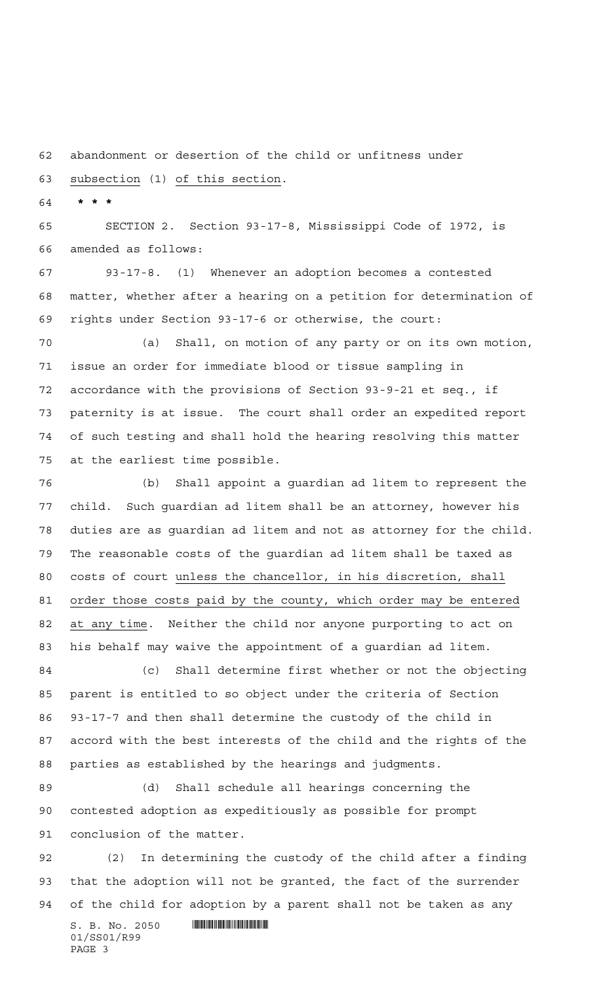abandonment or desertion of the child or unfitness under

subsection (1) of this section.

**\*\*\***

 SECTION 2. Section 93-17-8, Mississippi Code of 1972, is amended as follows:

 93-17-8. (1) Whenever an adoption becomes a contested matter, whether after a hearing on a petition for determination of rights under Section 93-17-6 or otherwise, the court:

 (a) Shall, on motion of any party or on its own motion, issue an order for immediate blood or tissue sampling in accordance with the provisions of Section 93-9-21 et seq., if paternity is at issue. The court shall order an expedited report of such testing and shall hold the hearing resolving this matter at the earliest time possible.

 (b) Shall appoint a guardian ad litem to represent the child. Such guardian ad litem shall be an attorney, however his duties are as guardian ad litem and not as attorney for the child. The reasonable costs of the guardian ad litem shall be taxed as costs of court unless the chancellor, in his discretion, shall order those costs paid by the county, which order may be entered at any time. Neither the child nor anyone purporting to act on his behalf may waive the appointment of a guardian ad litem.

 (c) Shall determine first whether or not the objecting parent is entitled to so object under the criteria of Section 93-17-7 and then shall determine the custody of the child in accord with the best interests of the child and the rights of the parties as established by the hearings and judgments.

 (d) Shall schedule all hearings concerning the contested adoption as expeditiously as possible for prompt conclusion of the matter.

 $S. B. No. 2050$  . And the set of the set of  $S. B. N_{\odot}$  ,  $2050$  (2) In determining the custody of the child after a finding that the adoption will not be granted, the fact of the surrender of the child for adoption by a parent shall not be taken as any

01/SS01/R99 PAGE 3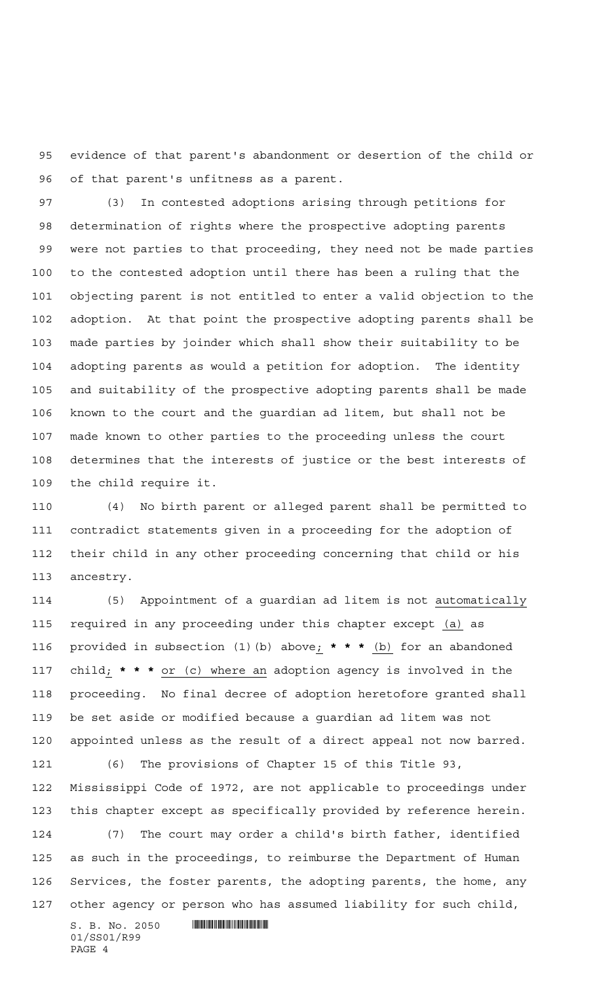evidence of that parent's abandonment or desertion of the child or of that parent's unfitness as a parent.

 (3) In contested adoptions arising through petitions for determination of rights where the prospective adopting parents were not parties to that proceeding, they need not be made parties to the contested adoption until there has been a ruling that the objecting parent is not entitled to enter a valid objection to the adoption. At that point the prospective adopting parents shall be made parties by joinder which shall show their suitability to be adopting parents as would a petition for adoption. The identity and suitability of the prospective adopting parents shall be made known to the court and the guardian ad litem, but shall not be made known to other parties to the proceeding unless the court determines that the interests of justice or the best interests of the child require it.

 (4) No birth parent or alleged parent shall be permitted to contradict statements given in a proceeding for the adoption of their child in any other proceeding concerning that child or his ancestry.

 (5) Appointment of a guardian ad litem is not automatically required in any proceeding under this chapter except (a) as provided in subsection (1)(b) above; **\*\*\*** (b) for an abandoned child; **\*\*\*** or (c) where an adoption agency is involved in the proceeding. No final decree of adoption heretofore granted shall be set aside or modified because a guardian ad litem was not appointed unless as the result of a direct appeal not now barred.

 $S. B. No. 2050$  .  $\blacksquare$  (6) The provisions of Chapter 15 of this Title 93, Mississippi Code of 1972, are not applicable to proceedings under this chapter except as specifically provided by reference herein. (7) The court may order a child's birth father, identified as such in the proceedings, to reimburse the Department of Human Services, the foster parents, the adopting parents, the home, any other agency or person who has assumed liability for such child,

01/SS01/R99 PAGE 4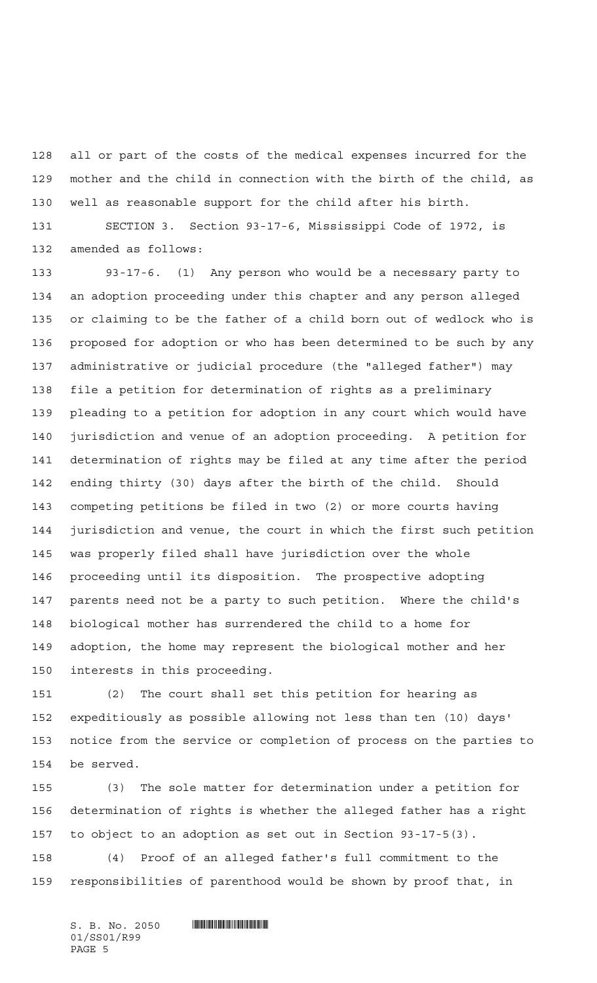all or part of the costs of the medical expenses incurred for the mother and the child in connection with the birth of the child, as well as reasonable support for the child after his birth.

 SECTION 3. Section 93-17-6, Mississippi Code of 1972, is amended as follows:

 93-17-6. (1) Any person who would be a necessary party to an adoption proceeding under this chapter and any person alleged or claiming to be the father of a child born out of wedlock who is proposed for adoption or who has been determined to be such by any administrative or judicial procedure (the "alleged father") may file a petition for determination of rights as a preliminary pleading to a petition for adoption in any court which would have jurisdiction and venue of an adoption proceeding. A petition for determination of rights may be filed at any time after the period ending thirty (30) days after the birth of the child. Should competing petitions be filed in two (2) or more courts having jurisdiction and venue, the court in which the first such petition was properly filed shall have jurisdiction over the whole proceeding until its disposition. The prospective adopting parents need not be a party to such petition. Where the child's biological mother has surrendered the child to a home for adoption, the home may represent the biological mother and her interests in this proceeding.

 (2) The court shall set this petition for hearing as expeditiously as possible allowing not less than ten (10) days' notice from the service or completion of process on the parties to be served.

 (3) The sole matter for determination under a petition for determination of rights is whether the alleged father has a right to object to an adoption as set out in Section 93-17-5(3).

 (4) Proof of an alleged father's full commitment to the responsibilities of parenthood would be shown by proof that, in

 $S. B. No. 2050$  .  $\blacksquare$ 01/SS01/R99 PAGE 5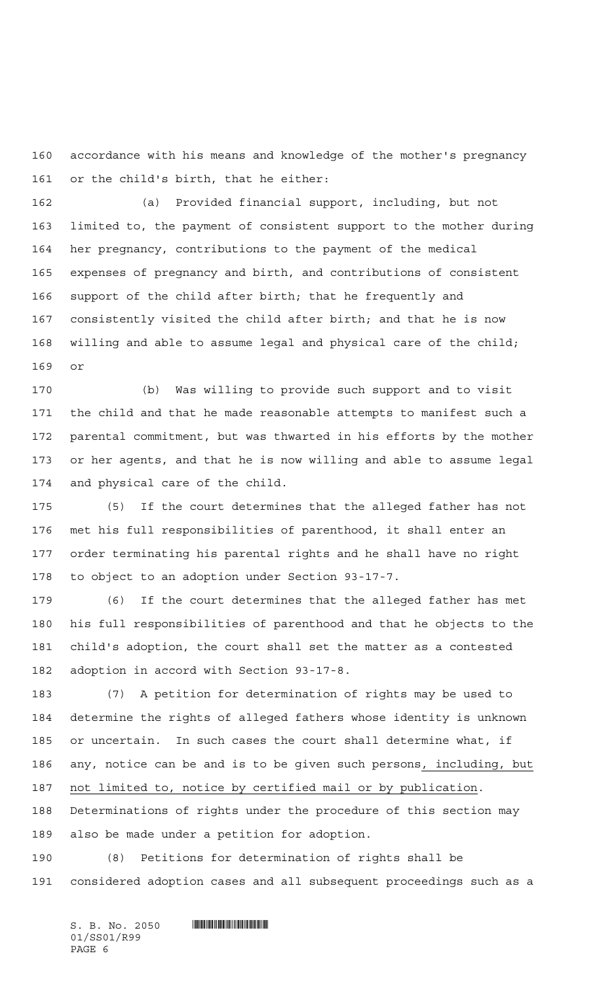accordance with his means and knowledge of the mother's pregnancy or the child's birth, that he either:

 (a) Provided financial support, including, but not limited to, the payment of consistent support to the mother during her pregnancy, contributions to the payment of the medical expenses of pregnancy and birth, and contributions of consistent support of the child after birth; that he frequently and consistently visited the child after birth; and that he is now willing and able to assume legal and physical care of the child; or

 (b) Was willing to provide such support and to visit the child and that he made reasonable attempts to manifest such a parental commitment, but was thwarted in his efforts by the mother or her agents, and that he is now willing and able to assume legal and physical care of the child.

 (5) If the court determines that the alleged father has not met his full responsibilities of parenthood, it shall enter an order terminating his parental rights and he shall have no right to object to an adoption under Section 93-17-7.

 (6) If the court determines that the alleged father has met his full responsibilities of parenthood and that he objects to the child's adoption, the court shall set the matter as a contested adoption in accord with Section 93-17-8.

 (7) A petition for determination of rights may be used to determine the rights of alleged fathers whose identity is unknown or uncertain. In such cases the court shall determine what, if any, notice can be and is to be given such persons, including, but not limited to, notice by certified mail or by publication. Determinations of rights under the procedure of this section may also be made under a petition for adoption.

 (8) Petitions for determination of rights shall be considered adoption cases and all subsequent proceedings such as a